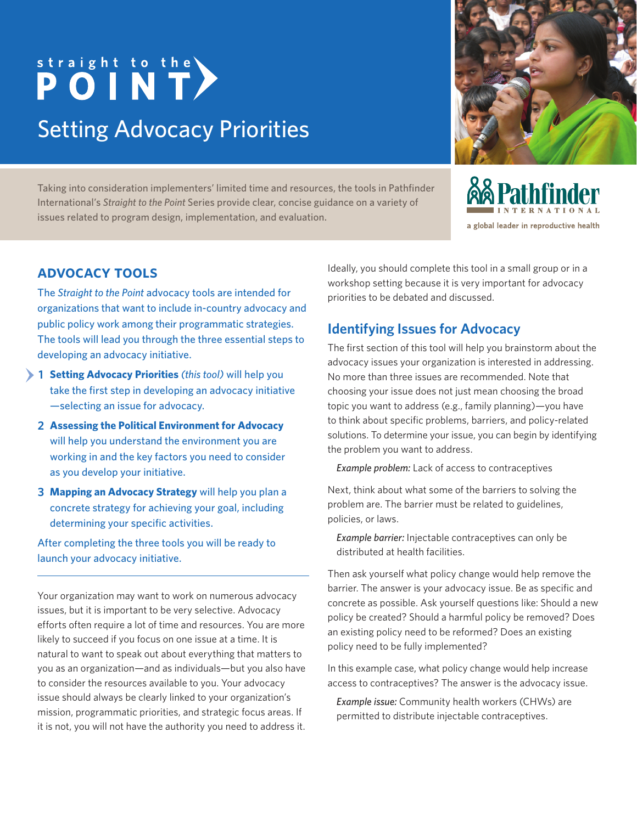# straight to the <br> **POINT** Setting Advocacy Priorities

Taking into consideration implementers' limited time and resources, the tools in Pathfinder International's *Straight to the Point* Series provide clear, concise guidance on a variety of issues related to program design, implementation, and evaluation.



**&& Pathfinder** a global leader in reproductive health

#### **advocacy tools**

The *Straight to the Point* advocacy tools are intended for organizations that want to include in-country advocacy and public policy work among their programmatic strategies. The tools will lead you through the three essential steps to developing an advocacy initiative.

- **Setting Advocacy Priorities** *(this tool)* will help you **1**take the first step in developing an advocacy initiative —selecting an issue for advocacy.
	- **Assessing the Political Environment for Advocacy 2** will help you understand the environment you are working in and the key factors you need to consider as you develop your initiative.
- **Mapping an Advocacy Strategy** will help you plan a **3** concrete strategy for achieving your goal, including determining your specific activities.

After completing the three tools you will be ready to launch your advocacy initiative.

Your organization may want to work on numerous advocacy issues, but it is important to be very selective. Advocacy efforts often require a lot of time and resources. You are more likely to succeed if you focus on one issue at a time. It is natural to want to speak out about everything that matters to you as an organization—and as individuals—but you also have to consider the resources available to you. Your advocacy issue should always be clearly linked to your organization's mission, programmatic priorities, and strategic focus areas. If it is not, you will not have the authority you need to address it. Ideally, you should complete this tool in a small group or in a workshop setting because it is very important for advocacy priorities to be debated and discussed.

### **Identifying Issues for Advocacy**

The first section of this tool will help you brainstorm about the advocacy issues your organization is interested in addressing. No more than three issues are recommended. Note that choosing your issue does not just mean choosing the broad topic you want to address (e.g., family planning)—you have to think about specific problems, barriers, and policy-related solutions. To determine your issue, you can begin by identifying the problem you want to address.

*Example problem:* Lack of access to contraceptives

Next, think about what some of the barriers to solving the problem are. The barrier must be related to guidelines, policies, or laws.

*Example barrier:* Injectable contraceptives can only be distributed at health facilities.

Then ask yourself what policy change would help remove the barrier. The answer is your advocacy issue. Be as specific and concrete as possible. Ask yourself questions like: Should a new policy be created? Should a harmful policy be removed? Does an existing policy need to be reformed? Does an existing policy need to be fully implemented?

In this example case, what policy change would help increase access to contraceptives? The answer is the advocacy issue.

*Example issue:* Community health workers (CHWs) are permitted to distribute injectable contraceptives.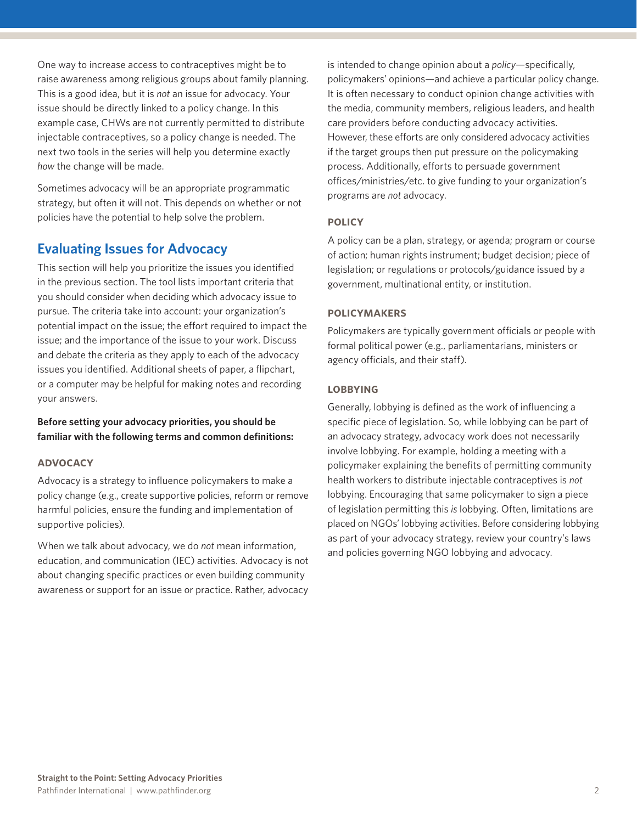One way to increase access to contraceptives might be to raise awareness among religious groups about family planning. This is a good idea, but it is *not* an issue for advocacy. Your issue should be directly linked to a policy change. In this example case, CHWs are not currently permitted to distribute injectable contraceptives, so a policy change is needed. The next two tools in the series will help you determine exactly *how* the change will be made.

Sometimes advocacy will be an appropriate programmatic strategy, but often it will not. This depends on whether or not policies have the potential to help solve the problem.

#### **Evaluating Issues for Advocacy**

This section will help you prioritize the issues you identified in the previous section. The tool lists important criteria that you should consider when deciding which advocacy issue to pursue. The criteria take into account: your organization's potential impact on the issue; the effort required to impact the issue; and the importance of the issue to your work. Discuss and debate the criteria as they apply to each of the advocacy issues you identified. Additional sheets of paper, a flipchart, or a computer may be helpful for making notes and recording your answers.

**Before setting your advocacy priorities, you should be familiar with the following terms and common definitions:**

#### **advocacy**

Advocacy is a strategy to influence policymakers to make a policy change (e.g., create supportive policies, reform or remove harmful policies, ensure the funding and implementation of supportive policies).

When we talk about advocacy, we do *not* mean information, education, and communication (IEC) activities. Advocacy is not about changing specific practices or even building community awareness or support for an issue or practice. Rather, advocacy

is intended to change opinion about a *policy*—specifically, policymakers' opinions—and achieve a particular policy change. It is often necessary to conduct opinion change activities with the media, community members, religious leaders, and health care providers before conducting advocacy activities. However, these efforts are only considered advocacy activities if the target groups then put pressure on the policymaking process. Additionally, efforts to persuade government offices/ministries/etc. to give funding to your organization's programs are *not* advocacy.

#### **policy**

A policy can be a plan, strategy, or agenda; program or course of action; human rights instrument; budget decision; piece of legislation; or regulations or protocols/guidance issued by a government, multinational entity, or institution.

#### **policymakers**

Policymakers are typically government officials or people with formal political power (e.g., parliamentarians, ministers or agency officials, and their staff).

#### **lobbying**

Generally, lobbying is defined as the work of influencing a specific piece of legislation. So, while lobbying can be part of an advocacy strategy, advocacy work does not necessarily involve lobbying. For example, holding a meeting with a policymaker explaining the benefits of permitting community health workers to distribute injectable contraceptives is *not* lobbying. Encouraging that same policymaker to sign a piece of legislation permitting this *is* lobbying. Often, limitations are placed on NGOs' lobbying activities. Before considering lobbying as part of your advocacy strategy, review your country's laws and policies governing NGO lobbying and advocacy.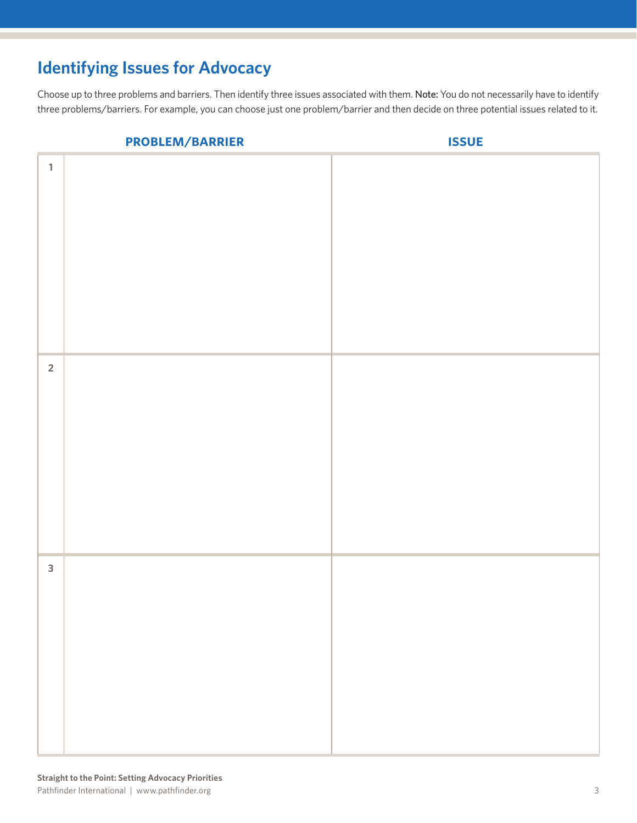## **Identifying Issues for Advocacy**

Choose up to three problems and barriers. Then identify three issues associated with them. Note: You do not necessarily have to identify three problems/barriers. For example, you can choose just one problem/barrier and then decide on three potential issues related to it.

|              | PROBLEM/BARRIER | <b>ISSUE</b> |
|--------------|-----------------|--------------|
| $\mathbf{1}$ |                 |              |
| $\mathbf 2$  |                 |              |
| $\mathbf{3}$ |                 |              |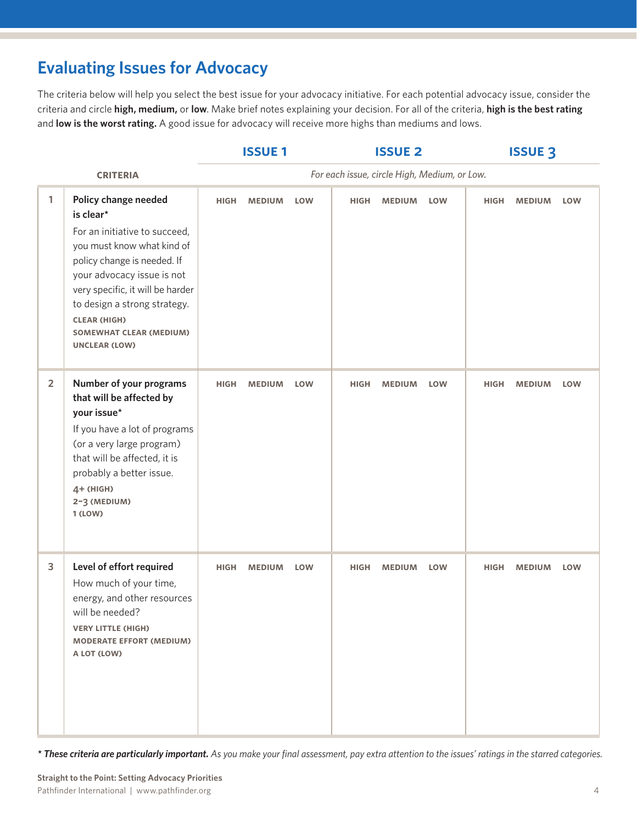## **Evaluating Issues for Advocacy**

The criteria below will help you select the best issue for your advocacy initiative. For each potential advocacy issue, consider the criteria and circle **high, medium,** or **low**. Make brief notes explaining your decision. For all of the criteria, **high is the best rating** and **low is the worst rating.** A good issue for advocacy will receive more highs than mediums and lows.

|                |                                                                                                                                                                                                                                                                                                                    | <b>ISSUE 1</b>                               |               |            | <b>ISSUE 2</b> |               |            | <b>ISSUE 3</b> |               |            |  |
|----------------|--------------------------------------------------------------------------------------------------------------------------------------------------------------------------------------------------------------------------------------------------------------------------------------------------------------------|----------------------------------------------|---------------|------------|----------------|---------------|------------|----------------|---------------|------------|--|
|                | <b>CRITERIA</b>                                                                                                                                                                                                                                                                                                    | For each issue, circle High, Medium, or Low. |               |            |                |               |            |                |               |            |  |
| 1              | Policy change needed<br>is clear*<br>For an initiative to succeed,<br>you must know what kind of<br>policy change is needed. If<br>your advocacy issue is not<br>very specific, it will be harder<br>to design a strong strategy.<br><b>CLEAR (HIGH)</b><br><b>SOMEWHAT CLEAR (MEDIUM)</b><br><b>UNCLEAR (LOW)</b> | <b>HIGH</b>                                  | <b>MEDIUM</b> | <b>LOW</b> | <b>HIGH</b>    | <b>MEDIUM</b> | <b>LOW</b> | <b>HIGH</b>    | <b>MEDIUM</b> | <b>LOW</b> |  |
| $\overline{2}$ | Number of your programs<br>that will be affected by<br>your issue*<br>If you have a lot of programs<br>(or a very large program)<br>that will be affected, it is<br>probably a better issue.<br>4+ (HIGH)<br>2-3 (MEDIUM)<br>1 (LOW)                                                                               | <b>HIGH</b>                                  | <b>MEDIUM</b> | <b>LOW</b> | <b>HIGH</b>    | <b>MEDIUM</b> | <b>LOW</b> | <b>HIGH</b>    | <b>MEDIUM</b> | <b>LOW</b> |  |
| 3              | Level of effort required<br>How much of your time,<br>energy, and other resources<br>$\sim$ $\sim$<br>will be needed?<br><b>VERY LITTLE (HIGH)</b><br><b>MODERATE EFFORT (MEDIUM)</b><br>A LOT (LOW)                                                                                                               | <b>HIGH</b>                                  | <b>MEDIUM</b> | <b>LOW</b> | <b>HIGH</b>    | <b>MEDIUM</b> | <b>LOW</b> | <b>HIGH</b>    | <b>MEDIUM</b> | <b>LOW</b> |  |

*\* These criteria are particularly important. As you make your final assessment, pay extra attention to the issues' ratings in the starred categories.*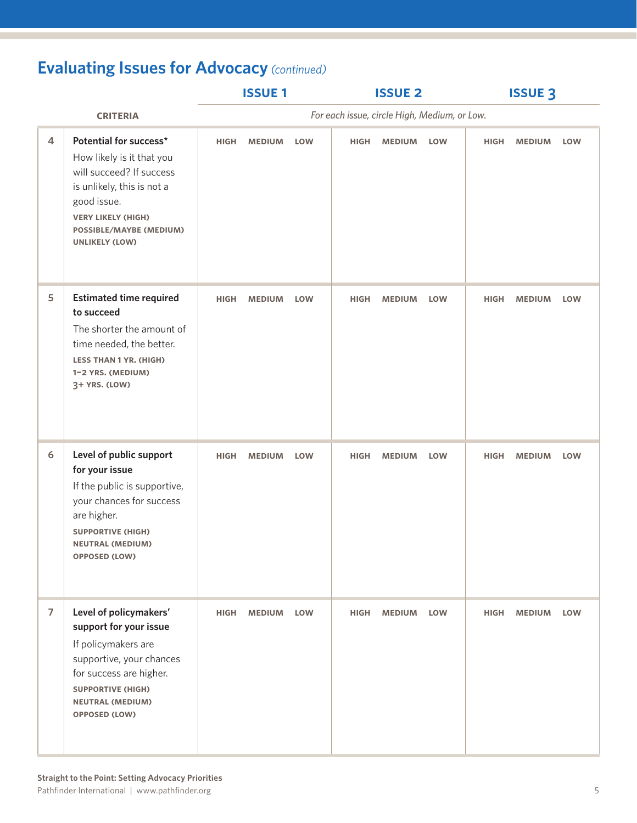# **Evaluating Issues for Advocacy** *(continued)*

|                |                                                                                                                                                                                                               | <b>ISSUE1</b>                                |               |            |             | <b>ISSUE 2</b> |            | <b>ISSUE 3</b> |               |            |
|----------------|---------------------------------------------------------------------------------------------------------------------------------------------------------------------------------------------------------------|----------------------------------------------|---------------|------------|-------------|----------------|------------|----------------|---------------|------------|
|                | <b>CRITERIA</b>                                                                                                                                                                                               | For each issue, circle High, Medium, or Low. |               |            |             |                |            |                |               |            |
| 4              | Potential for success*<br>How likely is it that you<br>will succeed? If success<br>is unlikely, this is not a<br>good issue.<br><b>VERY LIKELY (HIGH)</b><br>POSSIBLE/MAYBE (MEDIUM)<br><b>UNLIKELY (LOW)</b> | <b>HIGH</b>                                  | <b>MEDIUM</b> | <b>LOW</b> | <b>HIGH</b> | <b>MEDIUM</b>  | LOW        | <b>HIGH</b>    | <b>MEDIUM</b> | <b>LOW</b> |
| 5              | <b>Estimated time required</b><br>to succeed<br>The shorter the amount of<br>time needed, the better.<br><b>LESS THAN 1 YR. (HIGH)</b><br>1-2 YRS. (MEDIUM)<br>3+ YRS. (LOW)                                  | <b>HIGH</b>                                  | <b>MEDIUM</b> | <b>LOW</b> | <b>HIGH</b> | <b>MEDIUM</b>  | <b>LOW</b> | <b>HIGH</b>    | <b>MEDIUM</b> | <b>LOW</b> |
| 6              | Level of public support<br>for your issue<br>If the public is supportive,<br>your chances for success<br>are higher.<br><b>SUPPORTIVE (HIGH)</b><br><b>NEUTRAL (MEDIUM)</b><br><b>OPPOSED (LOW)</b>           | <b>HIGH</b>                                  | <b>MEDIUM</b> | <b>LOW</b> | <b>HIGH</b> | <b>MEDIUM</b>  | <b>LOW</b> | <b>HIGH</b>    | <b>MEDIUM</b> | <b>LOW</b> |
| $\overline{7}$ | Level of policymakers'<br>support for your issue<br>If policymakers are<br>supportive, your chances<br>for success are higher.<br><b>SUPPORTIVE (HIGH)</b><br><b>NEUTRAL (MEDIUM)</b><br><b>OPPOSED (LOW)</b> | <b>HIGH</b>                                  | <b>MEDIUM</b> | <b>LOW</b> | <b>HIGH</b> | <b>MEDIUM</b>  | <b>LOW</b> | <b>HIGH</b>    | <b>MEDIUM</b> | <b>LOW</b> |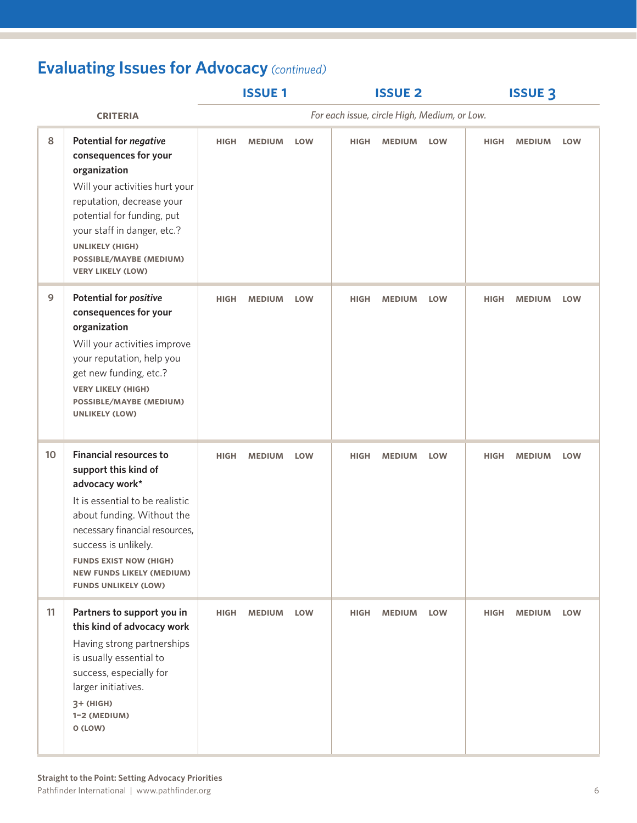# **Evaluating Issues for Advocacy** *(continued)*

|                 |                                                                                                                                                                                                                                                                                                        | <b>ISSUE1</b> |               |            |             | <b>ISSUE 2</b>                               |            | <b>ISSUE 3</b> |               |            |
|-----------------|--------------------------------------------------------------------------------------------------------------------------------------------------------------------------------------------------------------------------------------------------------------------------------------------------------|---------------|---------------|------------|-------------|----------------------------------------------|------------|----------------|---------------|------------|
| <b>CRITERIA</b> |                                                                                                                                                                                                                                                                                                        |               |               |            |             | For each issue, circle High, Medium, or Low. |            |                |               |            |
| 8               | <b>Potential for negative</b><br>consequences for your<br>organization<br>Will your activities hurt your<br>reputation, decrease your<br>potential for funding, put<br>your staff in danger, etc.?<br><b>UNLIKELY (HIGH)</b><br><b>POSSIBLE/MAYBE (MEDIUM)</b><br><b>VERY LIKELY (LOW)</b>             | <b>HIGH</b>   | <b>MEDIUM</b> | <b>LOW</b> | <b>HIGH</b> | <b>MEDIUM</b>                                | <b>LOW</b> | <b>HIGH</b>    | <b>MEDIUM</b> | <b>LOW</b> |
| 9               | <b>Potential for positive</b><br>consequences for your<br>organization<br>Will your activities improve<br>your reputation, help you<br>get new funding, etc.?<br><b>VERY LIKELY (HIGH)</b><br><b>POSSIBLE/MAYBE (MEDIUM)</b><br><b>UNLIKELY (LOW)</b>                                                  | <b>HIGH</b>   | <b>MEDIUM</b> | <b>LOW</b> | <b>HIGH</b> | <b>MEDIUM</b>                                | <b>LOW</b> | <b>HIGH</b>    | <b>MEDIUM</b> | <b>LOW</b> |
| 10              | <b>Financial resources to</b><br>support this kind of<br>advocacy work*<br>It is essential to be realistic<br>about funding. Without the<br>necessary financial resources,<br>success is unlikely.<br><b>FUNDS EXIST NOW (HIGH)</b><br><b>NEW FUNDS LIKELY (MEDIUM)</b><br><b>FUNDS UNLIKELY (LOW)</b> | <b>HIGH</b>   | <b>MEDIUM</b> | <b>LOW</b> | <b>HIGH</b> | <b>MEDIUM</b>                                | <b>LOW</b> | <b>HIGH</b>    | <b>MEDIUM</b> | <b>LOW</b> |
| 11              | Partners to support you in<br>this kind of advocacy work<br>Having strong partnerships<br>is usually essential to<br>success, especially for<br>larger initiatives.<br>3+ (HIGH)<br>1-2 (MEDIUM)<br>O (LOW)                                                                                            | <b>HIGH</b>   | <b>MEDIUM</b> | <b>LOW</b> | <b>HIGH</b> | <b>MEDIUM</b>                                | <b>LOW</b> | <b>HIGH</b>    | <b>MEDIUM</b> | <b>LOW</b> |